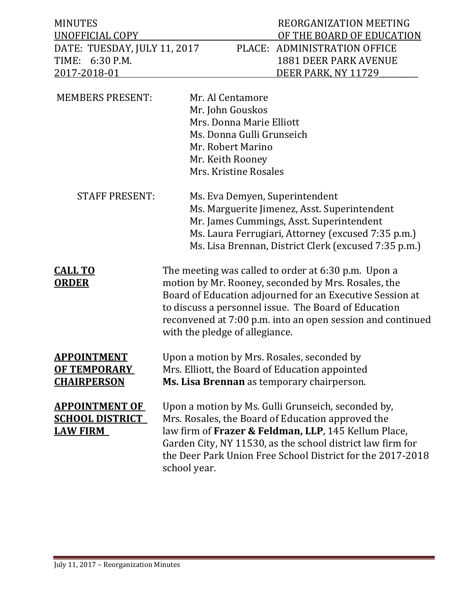| <b>MINUTES</b><br>UNOFFICIAL COPY                                  |                                                                                                                                                                                                                                                                                                                                | REORGANIZATION MEETING<br>OF THE BOARD OF EDUCATION                                                                                                                                                                                                                                         |
|--------------------------------------------------------------------|--------------------------------------------------------------------------------------------------------------------------------------------------------------------------------------------------------------------------------------------------------------------------------------------------------------------------------|---------------------------------------------------------------------------------------------------------------------------------------------------------------------------------------------------------------------------------------------------------------------------------------------|
| DATE: TUESDAY, JULY 11, 2017<br>TIME: 6:30 P.M.<br>2017-2018-01    |                                                                                                                                                                                                                                                                                                                                | PLACE: ADMINISTRATION OFFICE<br><b>1881 DEER PARK AVENUE</b><br>DEER PARK, NY 11729                                                                                                                                                                                                         |
| <b>MEMBERS PRESENT:</b>                                            | Mr. Al Centamore<br>Mr. John Gouskos<br>Mrs. Donna Marie Elliott<br>Ms. Donna Gulli Grunseich<br>Mr. Robert Marino<br>Mr. Keith Rooney<br>Mrs. Kristine Rosales                                                                                                                                                                |                                                                                                                                                                                                                                                                                             |
| <b>STAFF PRESENT:</b>                                              | Ms. Eva Demyen, Superintendent                                                                                                                                                                                                                                                                                                 | Ms. Marguerite Jimenez, Asst. Superintendent<br>Mr. James Cummings, Asst. Superintendent<br>Ms. Laura Ferrugiari, Attorney (excused 7:35 p.m.)<br>Ms. Lisa Brennan, District Clerk (excused 7:35 p.m.)                                                                                      |
| <b>CALL TO</b><br><b>ORDER</b>                                     | The meeting was called to order at 6:30 p.m. Upon a<br>motion by Mr. Rooney, seconded by Mrs. Rosales, the<br>Board of Education adjourned for an Executive Session at<br>to discuss a personnel issue. The Board of Education<br>reconvened at 7:00 p.m. into an open session and continued<br>with the pledge of allegiance. |                                                                                                                                                                                                                                                                                             |
| <b>APPOINTMENT</b><br><b>OF TEMPORARY</b><br><b>CHAIRPERSON</b>    | Upon a motion by Mrs. Rosales, seconded by<br>Mrs. Elliott, the Board of Education appointed<br>Ms. Lisa Brennan as temporary chairperson.                                                                                                                                                                                     |                                                                                                                                                                                                                                                                                             |
| <b>APPOINTMENT OF</b><br><b>SCHOOL DISTRICT</b><br><b>LAW FIRM</b> | school year.                                                                                                                                                                                                                                                                                                                   | Upon a motion by Ms. Gulli Grunseich, seconded by,<br>Mrs. Rosales, the Board of Education approved the<br>law firm of Frazer & Feldman, LLP, 145 Kellum Place,<br>Garden City, NY 11530, as the school district law firm for<br>the Deer Park Union Free School District for the 2017-2018 |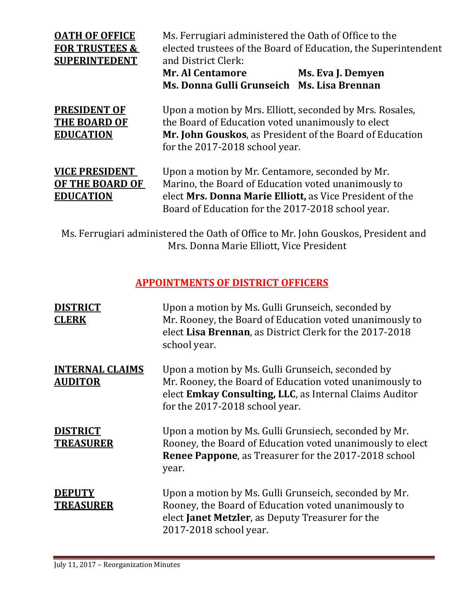| <b>OATH OF OFFICE</b><br><b>FOR TRUSTEES &amp;</b><br><b>SUPERINTEDENT</b> | Ms. Ferrugiari administered the Oath of Office to the<br>elected trustees of the Board of Education, the Superintendent<br>and District Clerk:<br><b>Mr. Al Centamore</b><br>Ms. Eva J. Demyen<br>Ms. Donna Gulli Grunseich Ms. Lisa Brennan |  |
|----------------------------------------------------------------------------|----------------------------------------------------------------------------------------------------------------------------------------------------------------------------------------------------------------------------------------------|--|
| <b>PRESIDENT OF</b><br><b>THE BOARD OF</b><br><b>EDUCATION</b>             | Upon a motion by Mrs. Elliott, seconded by Mrs. Rosales,<br>the Board of Education voted unanimously to elect<br>Mr. John Gouskos, as President of the Board of Education<br>for the 2017-2018 school year.                                  |  |
| <b>VICE PRESIDENT</b><br>OF THE BOARD OF<br><b>EDUCATION</b>               | Upon a motion by Mr. Centamore, seconded by Mr.<br>Marino, the Board of Education voted unanimously to<br>elect Mrs. Donna Marie Elliott, as Vice President of the<br>Board of Education for the 2017-2018 school year.                      |  |
|                                                                            | Ms. Ferrugiari administered the Oath of Office to Mr. John Gouskos. President and                                                                                                                                                            |  |

Ms. Ferrugiari administered the Oath of Office to Mr. John Gouskos, President and Mrs. Donna Marie Elliott, Vice President

### **APPOINTMENTS OF DISTRICT OFFICERS**

| <b>DISTRICT</b><br><b>CLERK</b>          | Upon a motion by Ms. Gulli Grunseich, seconded by<br>Mr. Rooney, the Board of Education voted unanimously to<br>elect Lisa Brennan, as District Clerk for the 2017-2018<br>school year.                   |
|------------------------------------------|-----------------------------------------------------------------------------------------------------------------------------------------------------------------------------------------------------------|
| <b>INTERNAL CLAIMS</b><br><b>AUDITOR</b> | Upon a motion by Ms. Gulli Grunseich, seconded by<br>Mr. Rooney, the Board of Education voted unanimously to<br>elect Emkay Consulting, LLC, as Internal Claims Auditor<br>for the 2017-2018 school year. |
| <b>DISTRICT</b><br><b>TREASURER</b>      | Upon a motion by Ms. Gulli Grunsiech, seconded by Mr.<br>Rooney, the Board of Education voted unanimously to elect<br><b>Renee Pappone, as Treasurer for the 2017-2018 school</b><br>year.                |
| <b>DEPUTY</b><br><b>TREASURER</b>        | Upon a motion by Ms. Gulli Grunseich, seconded by Mr.<br>Rooney, the Board of Education voted unanimously to<br>elect <b>Janet Metzler</b> , as Deputy Treasurer for the<br>2017-2018 school year.        |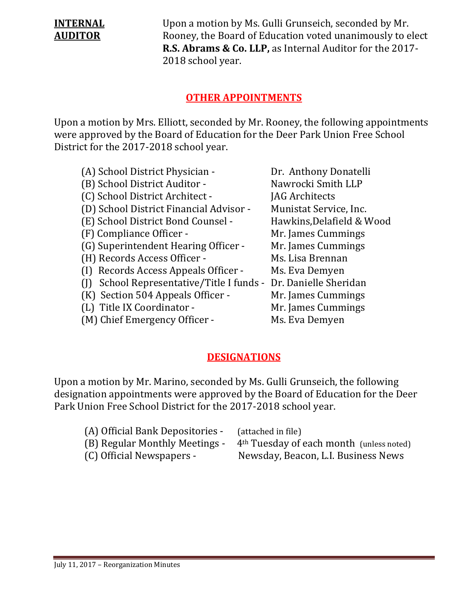**INTERNAL** Upon a motion by Ms. Gulli Grunseich, seconded by Mr.<br>**AUDITOR** Rooney, the Board of Education voted unanimously to e Rooney, the Board of Education voted unanimously to elect **R.S. Abrams & Co. LLP,** as Internal Auditor for the 2017- 2018 school year.

#### **OTHER APPOINTMENTS**

Upon a motion by Mrs. Elliott, seconded by Mr. Rooney, the following appointments were approved by the Board of Education for the Deer Park Union Free School District for the 2017-2018 school year.

| (A) School District Physician -         | Dr. Anthony Donatelli     |
|-----------------------------------------|---------------------------|
| (B) School District Auditor -           | Nawrocki Smith LLP        |
| (C) School District Architect -         | <b>JAG Architects</b>     |
| (D) School District Financial Advisor - | Munistat Service, Inc.    |
| (E) School District Bond Counsel -      | Hawkins, Delafield & Wood |
| (F) Compliance Officer -                | Mr. James Cummings        |
| (G) Superintendent Hearing Officer -    | Mr. James Cummings        |
| (H) Records Access Officer -            | Ms. Lisa Brennan          |
| (I) Records Access Appeals Officer -    | Ms. Eva Demyen            |
| School Representative/Title I funds -   | Dr. Danielle Sheridan     |
| (K) Section 504 Appeals Officer -       | Mr. James Cummings        |
| (L) Title IX Coordinator -              | Mr. James Cummings        |
| (M) Chief Emergency Officer -           | Ms. Eva Demyen            |

#### **DESIGNATIONS**

Upon a motion by Mr. Marino, seconded by Ms. Gulli Grunseich, the following designation appointments were approved by the Board of Education for the Deer Park Union Free School District for the 2017-2018 school year.

| (A) Official Bank Depositories - | (attached in file)                                   |
|----------------------------------|------------------------------------------------------|
| (B) Regular Monthly Meetings -   | 4 <sup>th</sup> Tuesday of each month (unless noted) |
| (C) Official Newspapers -        | Newsday, Beacon, L.I. Business News                  |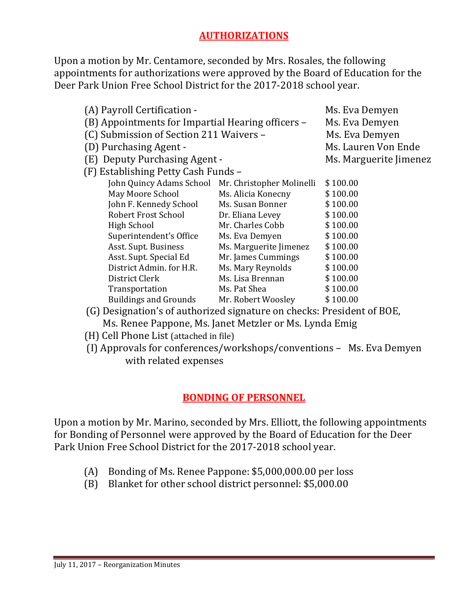#### **AUTHORIZATIONS**

Upon a motion by Mr. Centamore, seconded by Mrs. Rosales, the following appointments for authorizations were approved by the Board of Education for the Deer Park Union Free School District for the 2017-2018 school year.

| (A) Payroll Certification -                       |                           | Ms. Eva Demyen         |
|---------------------------------------------------|---------------------------|------------------------|
| (B) Appointments for Impartial Hearing officers - |                           | Ms. Eva Demyen         |
| (C) Submission of Section 211 Waivers -           |                           | Ms. Eva Demyen         |
| (D) Purchasing Agent -                            |                           | Ms. Lauren Von Ende    |
| (E) Deputy Purchasing Agent -                     |                           | Ms. Marguerite Jimenez |
| (F) Establishing Petty Cash Funds –               |                           |                        |
| John Quincy Adams School                          | Mr. Christopher Molinelli | \$100.00               |
| May Moore School                                  | Ms. Alicia Konecny        | \$100.00               |
| John F. Kennedy School                            | Ms. Susan Bonner          | \$100.00               |
| Robert Frost School                               | Dr. Eliana Levey          | \$100.00               |
| <b>High School</b>                                | Mr. Charles Cobb          | \$100.00               |
| Superintendent's Office                           | Ms. Eva Demyen            | \$100.00               |
| Asst. Supt. Business                              | Ms. Marguerite Jimenez    | \$100.00               |
| Asst. Supt. Special Ed                            | Mr. James Cummings        | \$100.00               |
| District Admin. for H.R.                          | Ms. Mary Reynolds         | \$100.00               |
| District Clerk                                    | Ms. Lisa Brennan          | \$100.00               |
| Transportation                                    | Ms. Pat Shea              | \$100.00               |
| <b>Buildings and Grounds</b>                      | Mr. Robert Woosley        | \$100.00               |
|                                                   |                           |                        |

- (G) Designation's of authorized signature on checks: President of BOE, Ms. Renee Pappone, Ms. Janet Metzler or Ms. Lynda Emig
- (H) Cell Phone List (attached in file)
- (I) Approvals for conferences/workshops/conventions Ms. Eva Demyen with related expenses

#### **BONDING OF PERSONNEL**

Upon a motion by Mr. Marino, seconded by Mrs. Elliott, the following appointments for Bonding of Personnel were approved by the Board of Education for the Deer Park Union Free School District for the 2017-2018 school year.

- (A) Bonding of Ms. Renee Pappone: \$5,000,000.00 per loss
- (B) Blanket for other school district personnel: \$5,000.00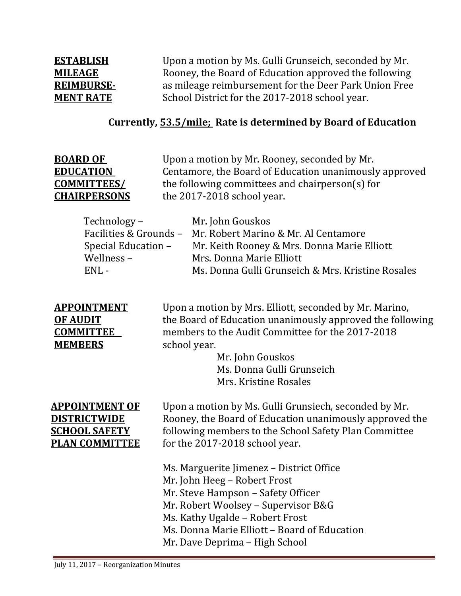**ESTABLISH** Upon a motion by Ms. Gulli Grunseich, seconded by Mr. **MILEAGE** Rooney, the Board of Education approved the following **REIMBURSE-** as mileage reimbursement for the Deer Park Union Free School District for the 2017-2018 school year.

#### **Currently, 53.5/mile; Rate is determined by Board of Education**

| <b>BOARD OF</b>     | Upon a motion by Mr. Rooney, seconded by Mr.           |
|---------------------|--------------------------------------------------------|
| <b>EDUCATION</b>    | Centamore, the Board of Education unanimously approved |
| <b>COMMITTEES/</b>  | the following committees and chairperson(s) for        |
| <b>CHAIRPERSONS</b> | the 2017-2018 school year.                             |
|                     |                                                        |

| Technology –        | Mr. John Gouskos                                            |
|---------------------|-------------------------------------------------------------|
|                     | Facilities & Grounds - Mr. Robert Marino & Mr. Al Centamore |
| Special Education – | Mr. Keith Rooney & Mrs. Donna Marie Elliott                 |
| Wellness $-$        | Mrs. Donna Marie Elliott                                    |
| $ENL -$             | Ms. Donna Gulli Grunseich & Mrs. Kristine Rosales           |
|                     |                                                             |

**APPOINTMENT** Upon a motion by Mrs. Elliott, seconded by Mr. Marino,<br> **OF AUDIT** the Board of Education unanimously approved the follo **OF AUDIT** the Board of Education unanimously approved the following<br> **COMMITTEE** members to the Audit Committee for the 2017-2018 **COMMITTEE** members to the Audit Committee for the 2017-2018<br>**MEMBERS** school year. school year.

> Mr. John Gouskos Ms. Donna Gulli Grunseich Mrs. Kristine Rosales

**APPOINTMENT OF** Upon a motion by Ms. Gulli Grunsiech, seconded by Mr. **DISTRICTWIDE** Rooney, the Board of Education unanimously approved the **SCHOOL SAFETY** following members to the School Safety Plan Committee **SCHOOL SAFETY** following members to the School Safety Plan Committee<br>**PLAN COMMITTEE** for the 2017-2018 school vear. for the 2017-2018 school year.

- Ms. Marguerite Jimenez District Office
- Mr. John Heeg Robert Frost
- Mr. Steve Hampson Safety Officer
- Mr. Robert Woolsey Supervisor B&G
- Ms. Kathy Ugalde Robert Frost
- Ms. Donna Marie Elliott Board of Education
- Mr. Dave Deprima High School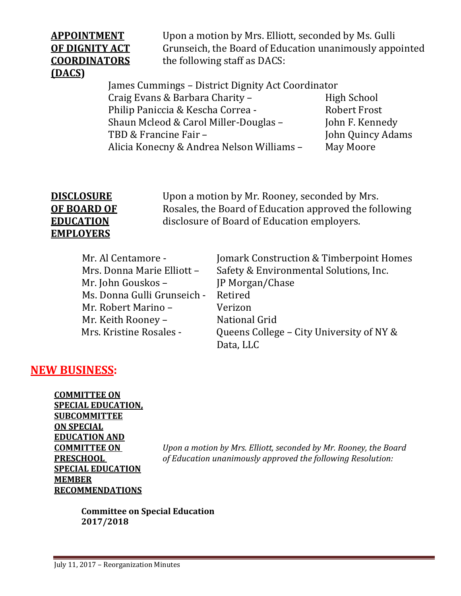# **(DACS)**

**APPOINTMENT** Upon a motion by Mrs. Elliott, seconded by Ms. Gulli **OF DIGNITY ACT** Grunseich, the Board of Education unanimously appointed **COORDINATORS** the following staff as DACS: the following staff as DACS:

> James Cummings – District Dignity Act Coordinator Craig Evans & Barbara Charity – Figh School<br>Philip Paniccia & Kescha Correa - Fight School Robert Frost Philip Paniccia & Kescha Correa - <br>
> Shaun Mcleod & Carol Miller-Douglas – [ohn F. Kennedy Shaun Mcleod & Carol Miller-Douglas -<br>TBD & Francine Fair -John Quincy Adams<br>May Moore Alicia Konecny & Andrea Nelson Williams -

# **EMPLOYERS**

**DISCLOSURE** Upon a motion by Mr. Rooney, seconded by Mrs.<br> **OF BOARD OF** Rosales, the Board of Education approved the fol **OF BOARD OF** Rosales, the Board of Education approved the following<br>**EDUCATION** disclosure of Board of Education employers. disclosure of Board of Education employers.

| Mr. Al Centamore -          | Jomark   |
|-----------------------------|----------|
| Mrs. Donna Marie Elliott -  | Safety 8 |
| Mr. John Gouskos –          | JP Morg  |
| Ms. Donna Gulli Grunseich - | Retired  |
| Mr. Robert Marino -         | Verizon  |
| Mr. Keith Rooney -          | Nationa  |
| Mrs. Kristine Rosales -     | Queens   |
|                             |          |

Jomark Construction & Timberpoint Homes Safety & Environmental Solutions, Inc. JP Morgan/Chase<br>Retired National Grid Queens College – City University of NY & Data, LLC

#### **NEW BUSINESS:**

**COMMITTEE ON SPECIAL EDUCATION, SUBCOMMITTEE ON SPECIAL EDUCATION AND SPECIAL EDUCATION MEMBER RECOMMENDATIONS**

**COMMITTEE ON** *Upon a motion by Mrs. Elliott, seconded by Mr. Rooney, the Board* **PRESCHOOL** *of Education unanimously approved the following Resolution:*

**Committee on Special Education 2017/2018**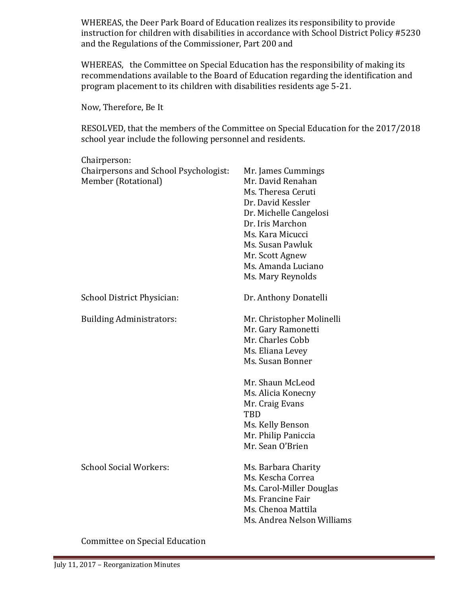WHEREAS, the Deer Park Board of Education realizes its responsibility to provide instruction for children with disabilities in accordance with School District Policy #5230 and the Regulations of the Commissioner, Part 200 and

WHEREAS, the Committee on Special Education has the responsibility of making its recommendations available to the Board of Education regarding the identification and program placement to its children with disabilities residents age 5-21.

Now, Therefore, Be It

RESOLVED, that the members of the Committee on Special Education for the 2017/2018 school year include the following personnel and residents.

| Chairperson:                                                        |                                                                                                                                                                                                                                                       |
|---------------------------------------------------------------------|-------------------------------------------------------------------------------------------------------------------------------------------------------------------------------------------------------------------------------------------------------|
| <b>Chairpersons and School Psychologist:</b><br>Member (Rotational) | Mr. James Cummings<br>Mr. David Renahan<br>Ms. Theresa Ceruti<br>Dr. David Kessler<br>Dr. Michelle Cangelosi<br>Dr. Iris Marchon<br>Ms. Kara Micucci<br>Ms. Susan Pawluk<br>Mr. Scott Agnew<br>Ms. Amanda Luciano<br>Ms. Mary Reynolds                |
| School District Physician:                                          | Dr. Anthony Donatelli                                                                                                                                                                                                                                 |
| <b>Building Administrators:</b>                                     | Mr. Christopher Molinelli<br>Mr. Gary Ramonetti<br>Mr. Charles Cobb<br>Ms. Eliana Levey<br>Ms. Susan Bonner<br>Mr. Shaun McLeod<br>Ms. Alicia Konecny<br>Mr. Craig Evans<br><b>TBD</b><br>Ms. Kelly Benson<br>Mr. Philip Paniccia<br>Mr. Sean O'Brien |
| <b>School Social Workers:</b>                                       | Ms. Barbara Charity<br>Ms. Kescha Correa<br>Ms. Carol-Miller Douglas<br>Ms. Francine Fair<br>Ms. Chenoa Mattila<br>Ms. Andrea Nelson Williams                                                                                                         |

Committee on Special Education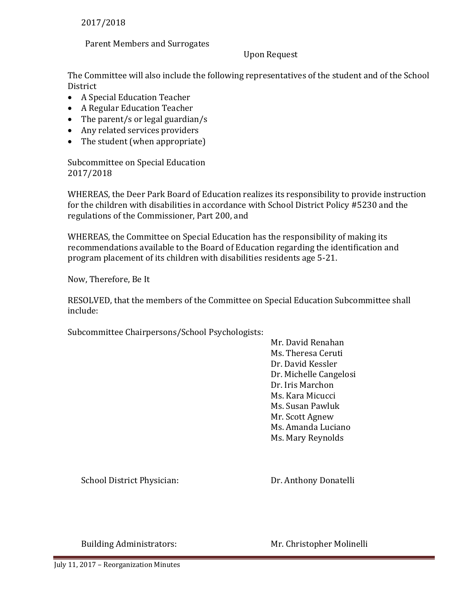2017/2018

Parent Members and Surrogates

#### Upon Request

The Committee will also include the following representatives of the student and of the School **District** 

- A Special Education Teacher
- A Regular Education Teacher
- The parent/s or legal guardian/s
- Any related services providers
- The student (when appropriate)

Subcommittee on Special Education 2017/2018

WHEREAS, the Deer Park Board of Education realizes its responsibility to provide instruction for the children with disabilities in accordance with School District Policy #5230 and the regulations of the Commissioner, Part 200, and

WHEREAS, the Committee on Special Education has the responsibility of making its recommendations available to the Board of Education regarding the identification and program placement of its children with disabilities residents age 5-21.

Now, Therefore, Be It

RESOLVED, that the members of the Committee on Special Education Subcommittee shall include:

Subcommittee Chairpersons/School Psychologists:

Mr. David Renahan Ms. Theresa Ceruti Dr. David Kessler Dr. Michelle Cangelosi Dr. Iris Marchon Ms. Kara Micucci Ms. Susan Pawluk Mr. Scott Agnew Ms. Amanda Luciano Ms. Mary Reynolds

School District Physician: Dr. Anthony Donatelli

Building Administrators: Mr. Christopher Molinelli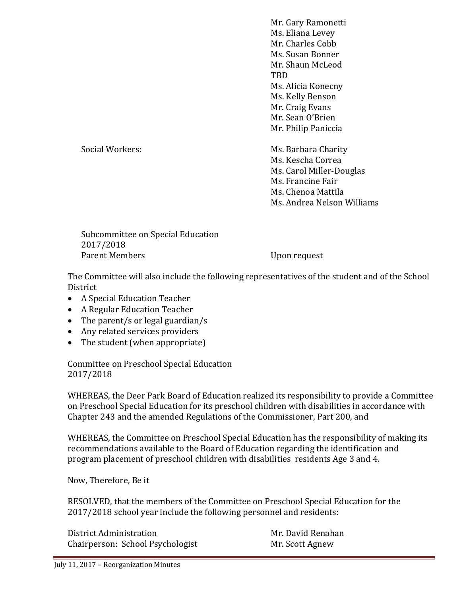Mr. Gary Ramonetti Ms. Eliana Levey Mr. Charles Cobb Ms. Susan Bonner Mr. Shaun McLeod TBD Ms. Alicia Konecny Ms. Kelly Benson Mr. Craig Evans Mr. Sean O'Brien Mr. Philip Paniccia

Social Workers: Ms. Barbara Charity Ms. Kescha Correa Ms. Carol Miller-Douglas Ms. Francine Fair Ms. Chenoa Mattila Ms. Andrea Nelson Williams

Subcommittee on Special Education 2017/2018 Parent Members **If the Upon request** 

The Committee will also include the following representatives of the student and of the School **District** 

- A Special Education Teacher
- A Regular Education Teacher
- The parent/s or legal guardian/s
- Any related services providers
- The student (when appropriate)

Committee on Preschool Special Education 2017/2018

WHEREAS, the Deer Park Board of Education realized its responsibility to provide a Committee on Preschool Special Education for its preschool children with disabilities in accordance with Chapter 243 and the amended Regulations of the Commissioner, Part 200, and

WHEREAS, the Committee on Preschool Special Education has the responsibility of making its recommendations available to the Board of Education regarding the identification and program placement of preschool children with disabilities residents Age 3 and 4.

Now, Therefore, Be it

RESOLVED, that the members of the Committee on Preschool Special Education for the 2017/2018 school year include the following personnel and residents:

District Administration<br>
Chairperson: School Psychologist Mr. Scott Agnew Chairperson: School Psychologist

July 11, 2017 – Reorganization Minutes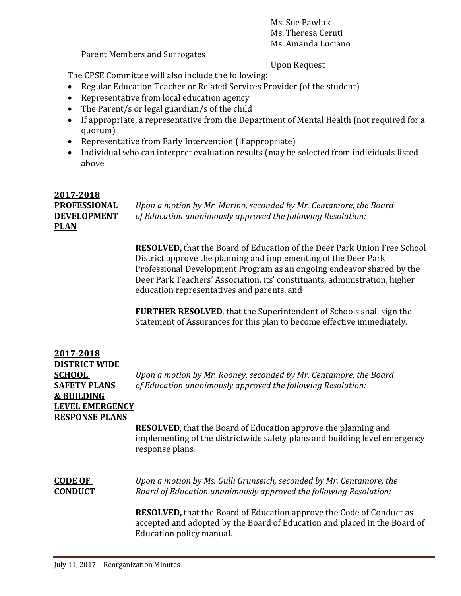Ms. Sue Pawluk Ms. Theresa Ceruti Ms. Amanda Luciano

Parent Members and Surrogates

#### Upon Request

The CPSE Committee will also include the following:

- Regular Education Teacher or Related Services Provider (of the student)
- Representative from local education agency
- The Parent/s or legal guardian/s of the child
- If appropriate, a representative from the Department of Mental Health (not required for a quorum)
- Representative from Early Intervention (if appropriate)
- Individual who can interpret evaluation results (may be selected from individuals listed above

## **2017-2018 PLAN**

**PROFESSIONAL** *Upon a motion by Mr. Marino, seconded by Mr. Centamore, the Board* **DEVELOPMENT** *of Education unanimously approved the following Resolution:*

> **RESOLVED,** that the Board of Education of the Deer Park Union Free School District approve the planning and implementing of the Deer Park Professional Development Program as an ongoing endeavor shared by the Deer Park Teachers' Association, its' constituants, administration, higher education representatives and parents, and

**FURTHER RESOLVED**, that the Superintendent of Schools shall sign the Statement of Assurances for this plan to become effective immediately.

| 2017-2018<br><u>DISTRICT WIDE</u><br>SCHOOL<br><b>SAFETY PLANS</b><br><b>&amp; BUILDING</b><br><b>LEVEL EMERGENCY</b> | Upon a motion by Mr. Rooney, seconded by Mr. Centamore, the Board<br>of Education unanimously approved the following Resolution:                                                                                                                                                                                                   |
|-----------------------------------------------------------------------------------------------------------------------|------------------------------------------------------------------------------------------------------------------------------------------------------------------------------------------------------------------------------------------------------------------------------------------------------------------------------------|
| <b>RESPONSE PLANS</b>                                                                                                 | <b>RESOLVED</b> , that the Board of Education approve the planning and<br>implementing of the districtwide safety plans and building level emergency<br>response plans.                                                                                                                                                            |
| CODE OF<br><b>CONDUCT</b>                                                                                             | Upon a motion by Ms. Gulli Grunseich, seconded by Mr. Centamore, the<br>Board of Education unanimously approved the following Resolution:<br><b>RESOLVED</b> , that the Board of Education approve the Code of Conduct as<br>accepted and adopted by the Board of Education and placed in the Board of<br>Education policy manual. |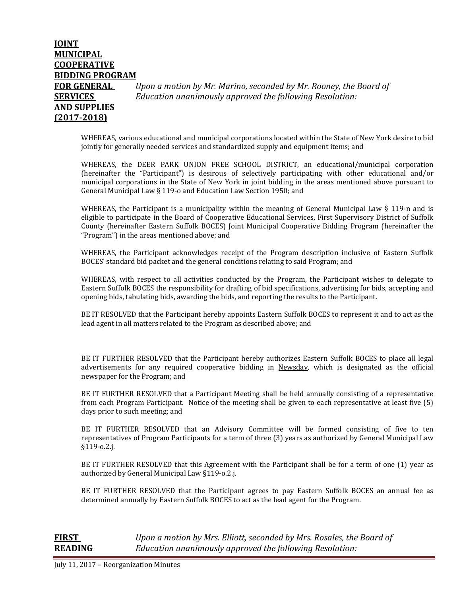| <b>JOINT</b>           |                                                                   |
|------------------------|-------------------------------------------------------------------|
| <b>MUNICIPAL</b>       |                                                                   |
| <b>COOPERATIVE</b>     |                                                                   |
| <b>BIDDING PROGRAM</b> |                                                                   |
| <b>FOR GENERAL</b>     | Upon a motion by Mr. Marino, seconded by Mr. Rooney, the Board of |
| <b>SERVICES</b>        | Education unanimously approved the following Resolution:          |
| <b>AND SUPPLIES</b>    |                                                                   |
| $(2017 - 2018)$        |                                                                   |

WHEREAS, various educational and municipal corporations located within the State of New York desire to bid jointly for generally needed services and standardized supply and equipment items; and

WHEREAS, the DEER PARK UNION FREE SCHOOL DISTRICT, an educational/municipal corporation (hereinafter the "Participant") is desirous of selectively participating with other educational and/or municipal corporations in the State of New York in joint bidding in the areas mentioned above pursuant to General Municipal Law § 119-o and Education Law Section 1950; and

WHEREAS, the Participant is a municipality within the meaning of General Municipal Law  $\S$  119-n and is eligible to participate in the Board of Cooperative Educational Services, First Supervisory District of Suffolk County (hereinafter Eastern Suffolk BOCES) Joint Municipal Cooperative Bidding Program (hereinafter the "Program") in the areas mentioned above; and

WHEREAS, the Participant acknowledges receipt of the Program description inclusive of Eastern Suffolk BOCES' standard bid packet and the general conditions relating to said Program; and

WHEREAS, with respect to all activities conducted by the Program, the Participant wishes to delegate to Eastern Suffolk BOCES the responsibility for drafting of bid specifications, advertising for bids, accepting and opening bids, tabulating bids, awarding the bids, and reporting the results to the Participant.

BE IT RESOLVED that the Participant hereby appoints Eastern Suffolk BOCES to represent it and to act as the lead agent in all matters related to the Program as described above; and

BE IT FURTHER RESOLVED that the Participant hereby authorizes Eastern Suffolk BOCES to place all legal advertisements for any required cooperative bidding in Newsday, which is designated as the official newspaper for the Program; and

BE IT FURTHER RESOLVED that a Participant Meeting shall be held annually consisting of a representative from each Program Participant. Notice of the meeting shall be given to each representative at least five (5) days prior to such meeting; and

BE IT FURTHER RESOLVED that an Advisory Committee will be formed consisting of five to ten representatives of Program Participants for a term of three (3) years as authorized by General Municipal Law §119-o.2.j.

BE IT FURTHER RESOLVED that this Agreement with the Participant shall be for a term of one (1) year as authorized by General Municipal Law §119-o.2.j.

BE IT FURTHER RESOLVED that the Participant agrees to pay Eastern Suffolk BOCES an annual fee as determined annually by Eastern Suffolk BOCES to act as the lead agent for the Program.

#### **FIRST** *Upon a motion by Mrs. Elliott, seconded by Mrs. Rosales, the Board of*  **READING** *Education unanimously approved the following Resolution:*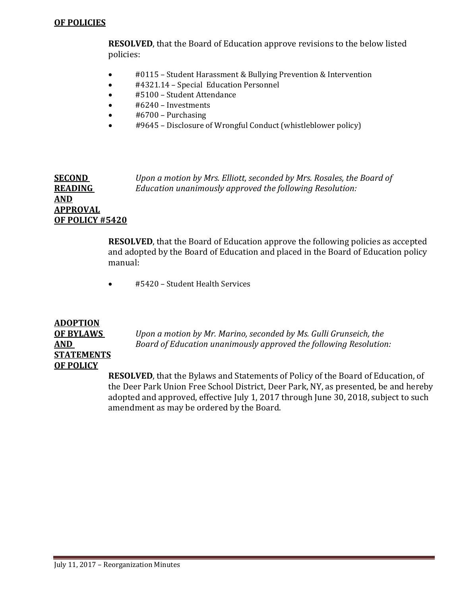#### **OF POLICIES**

**RESOLVED**, that the Board of Education approve revisions to the below listed policies:

- #0115 Student Harassment & Bullying Prevention & Intervention
- #4321.14 Special Education Personnel<br>• #5100 Student Attendance
- #5100 Student Attendance
- #6240 Investments
- #6700 Purchasing
- #9645 Disclosure of Wrongful Conduct (whistleblower policy)

**AND APPROVAL OF POLICY #5420**

**SECOND** *Upon a motion by Mrs. Elliott, seconded by Mrs. Rosales, the Board of Education unanimously approved the following Resolution:* 

> **RESOLVED**, that the Board of Education approve the following policies as accepted and adopted by the Board of Education and placed in the Board of Education policy manual:

• #5420 – Student Health Services

### **ADOPTION STATEMENTS OF POLICY**

**OF BYLAWS** *Upon a motion by Mr. Marino, seconded by Ms. Gulli Grunseich, the*  **AND** *Board of Education unanimously approved the following Resolution:*

> **RESOLVED**, that the Bylaws and Statements of Policy of the Board of Education, of the Deer Park Union Free School District, Deer Park, NY, as presented, be and hereby adopted and approved, effective July 1, 2017 through June 30, 2018, subject to such amendment as may be ordered by the Board.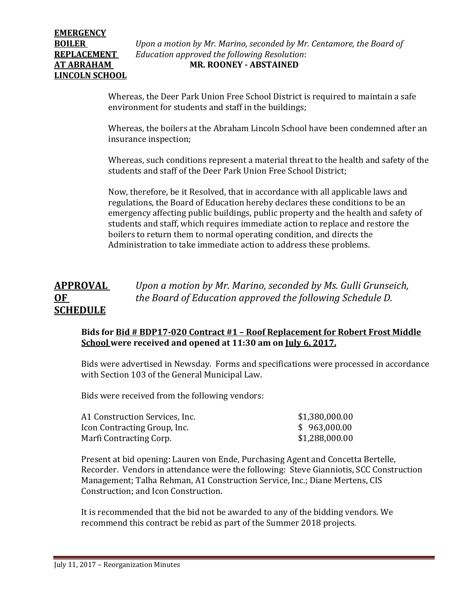## **EMERGENCY LINCOLN SCHOOL**

**BOILER** *Upon a motion by Mr. Marino, seconded by Mr. Centamore, the Board of* **REPLACEMENT** *Education approved the following Resolution*: **MR. ROONEY - ABSTAINED** 

> Whereas, the Deer Park Union Free School District is required to maintain a safe environment for students and staff in the buildings;

Whereas, the boilers at the Abraham Lincoln School have been condemned after an insurance inspection;

Whereas, such conditions represent a material threat to the health and safety of the students and staff of the Deer Park Union Free School District;

Now, therefore, be it Resolved, that in accordance with all applicable laws and regulations, the Board of Education hereby declares these conditions to be an emergency affecting public buildings, public property and the health and safety of students and staff, which requires immediate action to replace and restore the boilers to return them to normal operating condition, and directs the Administration to take immediate action to address these problems.

#### **APPROVAL** *Upon a motion by Mr. Marino, seconded by Ms. Gulli Grunseich,* **OF** *the Board of Education approved the following Schedule D.*  **SCHEDULE**

#### **Bids for Bid # BDP17-020 Contract #1 – Roof Replacement for Robert Frost Middle School were received and opened at 11:30 am on July 6, 2017.**

Bids were advertised in Newsday. Forms and specifications were processed in accordance with Section 103 of the General Municipal Law.

Bids were received from the following vendors:

| \$1,380,000.00 |
|----------------|
| \$963,000.00   |
| \$1,288,000.00 |
|                |

Present at bid opening: Lauren von Ende, Purchasing Agent and Concetta Bertelle, Recorder. Vendors in attendance were the following: Steve Gianniotis, SCC Construction Management; Talha Rehman, A1 Construction Service, Inc.; Diane Mertens, CIS Construction; and Icon Construction.

It is recommended that the bid not be awarded to any of the bidding vendors. We recommend this contract be rebid as part of the Summer 2018 projects.